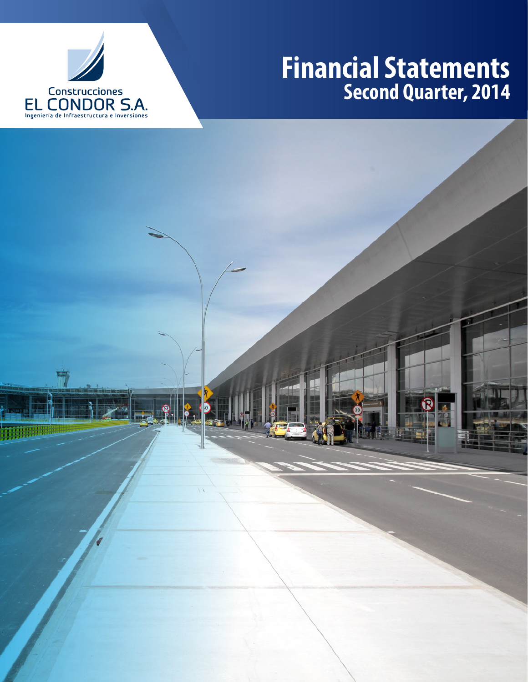

## **Financial Statements Second Quarter, 2014**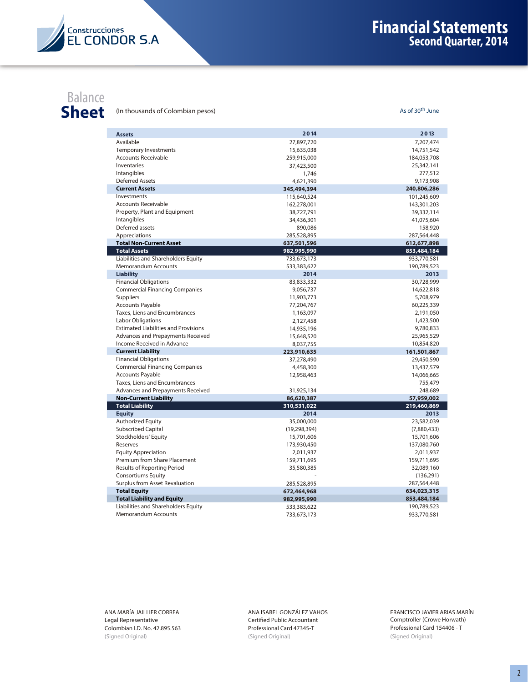

## **Balance**<br>**Sheet**

(In thousands of Colombian pesos) and a set of 30<sup>th</sup> June

| <b>Assets</b>                               | 2014           | 2013        |
|---------------------------------------------|----------------|-------------|
| Available                                   | 27,897,720     | 7,207,474   |
| <b>Temporary Investments</b>                | 15,635,038     | 14,751,542  |
| <b>Accounts Receivable</b>                  | 259,915,000    | 184,053,708 |
| <b>Inventaries</b>                          | 37,423,500     | 25,342,141  |
| Intangibles                                 | 1,746          | 277,512     |
| <b>Deferred Assets</b>                      | 4,621,390      | 9,173,908   |
| <b>Current Assets</b>                       | 345,494,394    | 240,806,286 |
| Investments                                 | 115,640,524    | 101,245,609 |
| <b>Accounts Receivable</b>                  | 162,278,001    | 143,301,203 |
| Property, Plant and Equipment               | 38,727,791     | 39,332,114  |
| Intangibles                                 | 34,436,301     | 41,075,604  |
| Deferred assets                             | 890,086        | 158,920     |
| Appreciations                               | 285,528,895    | 287,564,448 |
| <b>Total Non-Current Asset</b>              | 637,501,596    | 612,677,898 |
| <b>Total Assets</b>                         | 982,995,990    | 853,484,184 |
| Liabilities and Shareholders Equity         | 733,673,173    | 933,770,581 |
| <b>Memorandum Accounts</b>                  | 533,383,622    | 190,789,523 |
| <b>Liability</b>                            | 2014           | 2013        |
| <b>Financial Obligations</b>                | 83,833,332     | 30,728,999  |
| <b>Commercial Financing Companies</b>       | 9,056,737      | 14,622,818  |
| Suppliers                                   | 11,903,773     | 5,708,979   |
| <b>Accounts Payable</b>                     | 77,204,767     | 60,225,339  |
| Taxes, Liens and Encumbrances               | 1,163,097      | 2,191,050   |
| Labor Obligations                           | 2,127,458      | 1,423,500   |
| <b>Estimated Liabilities and Provisions</b> | 14,935,196     | 9,780,833   |
| Advances and Prepayments Received           | 15,648,520     | 25,965,529  |
| Income Received in Advance                  | 8,037,755      | 10,854,820  |
| <b>Current Liability</b>                    | 223,910,635    | 161,501,867 |
| <b>Financial Obligations</b>                | 37,278,490     | 29,450,590  |
| <b>Commercial Financing Companies</b>       | 4,458,300      | 13,437,579  |
| <b>Accounts Payable</b>                     | 12,958,463     | 14,066,665  |
| Taxes, Liens and Encumbrances               |                | 755,479     |
| Advances and Prepayments Received           | 31,925,134     | 248,689     |
| <b>Non-Current Liability</b>                | 86,620,387     | 57,959,002  |
| <b>Total Liability</b>                      | 310,531,022    | 219,460,869 |
| <b>Equity</b>                               | 2014           | 2013        |
| <b>Authorized Equity</b>                    | 35,000,000     | 23,582,039  |
| <b>Subscribed Capital</b>                   | (19, 298, 394) | (7,880,433) |
| <b>Stockholders' Equity</b>                 | 15,701,606     | 15,701,606  |
| Reserves                                    | 173,930,450    | 137,080,760 |
| <b>Equity Appreciation</b>                  | 2,011,937      | 2,011,937   |
| <b>Premium from Share Placement</b>         | 159,711,695    | 159,711,695 |
| Results of Reporting Period                 | 35,580,385     | 32,089,160  |
| <b>Consortiums Equity</b>                   |                | (136, 291)  |
| Surplus from Asset Revaluation              | 285,528,895    | 287,564,448 |
| <b>Total Equity</b>                         | 672,464,968    | 634,023,315 |
| <b>Total Liability and Equity</b>           | 982,995,990    | 853,484,184 |
| Liabilities and Shareholders Equity         | 533,383,622    | 190,789,523 |
| <b>Memorandum Accounts</b>                  | 733,673,173    | 933,770,581 |

ANA MARÍA JAILLIER CORREA Legal Representative Colombian I.D. No. 42.895.563

ANA ISABEL GONZÁLEZ VAHOS Certified Public Accountant Professional Card 47345-T (Signed Original) (Signed Original) (Signed Original)

FRANCISCO JAVIER ARIAS MARÍN Comptroller (Crowe Horwath) Professional Card 154406 - T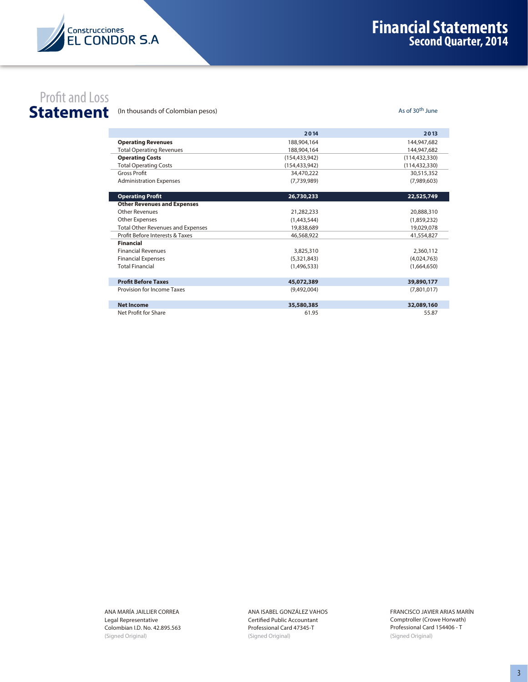

As of 30th June

## Profit and Loss Statement (In thousands of Colombian pesos)

|                                          | 2014            | 2013            |
|------------------------------------------|-----------------|-----------------|
| <b>Operating Revenues</b>                | 188,904,164     | 144,947,682     |
| <b>Total Operating Revenues</b>          | 188,904,164     | 144,947,682     |
| <b>Operating Costs</b>                   | (154, 433, 942) | (114, 432, 330) |
| <b>Total Operating Costs</b>             | (154, 433, 942) | (114, 432, 330) |
| <b>Gross Profit</b>                      | 34,470,222      | 30,515,352      |
| <b>Administration Expenses</b>           | (7,739,989)     | (7,989,603)     |
| <b>Operating Profit</b>                  | 26,730,233      | 22,525,749      |
| <b>Other Revenues and Expenses</b>       |                 |                 |
| Other Revenues                           | 21,282,233      | 20,888,310      |
| <b>Other Expenses</b>                    | (1,443,544)     | (1,859,232)     |
| <b>Total Other Revenues and Expenses</b> | 19,838,689      | 19,029,078      |
| Profit Before Interests & Taxes          | 46,568,922      | 41.554.827      |
| <b>Financial</b>                         |                 |                 |
| <b>Financial Revenues</b>                | 3,825,310       | 2,360,112       |
| <b>Financial Expenses</b>                | (5,321,843)     | (4,024,763)     |
| <b>Total Financial</b>                   | (1,496,533)     | (1,664,650)     |
| <b>Profit Before Taxes</b>               | 45,072,389      | 39,890,177      |
| Provision for Income Taxes               | (9.492.004)     | (7.801.017)     |
| <b>Net Income</b>                        | 35,580,385      | 32,089,160      |
| Net Profit for Share                     | 61.95           | 55.87           |

ANA MARÍA JAILLIER CORREA Legal Representative Colombian I.D. No. 42.895.563 (Signed Original) (Signed Original) (Signed Original)

ANA ISABEL GONZÁLEZ VAHOS Certified Public Accountant Professional Card 47345-T

FRANCISCO JAVIER ARIAS MARÍN Comptroller (Crowe Horwath) Professional Card 154406 - T